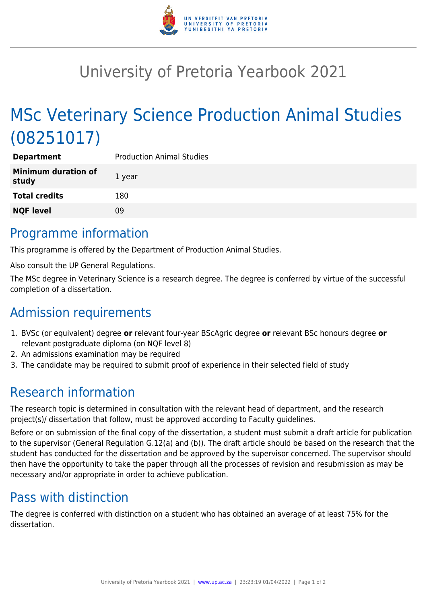

# University of Pretoria Yearbook 2021

# MSc Veterinary Science Production Animal Studies (08251017)

| <b>Department</b>                   | <b>Production Animal Studies</b> |
|-------------------------------------|----------------------------------|
| <b>Minimum duration of</b><br>study | 1 year                           |
| <b>Total credits</b>                | 180                              |
| <b>NQF level</b>                    | 09                               |

### Programme information

This programme is offered by the Department of Production Animal Studies.

Also consult the UP General Regulations.

The MSc degree in Veterinary Science is a research degree. The degree is conferred by virtue of the successful completion of a dissertation.

## Admission requirements

- 1. BVSc (or equivalent) degree **or** relevant four-year BScAgric degree **or** relevant BSc honours degree **or** relevant postgraduate diploma (on NQF level 8)
- 2. An admissions examination may be required
- 3. The candidate may be required to submit proof of experience in their selected field of study

## Research information

The research topic is determined in consultation with the relevant head of department, and the research project(s)/ dissertation that follow, must be approved according to Faculty guidelines.

Before or on submission of the final copy of the dissertation, a student must submit a draft article for publication to the supervisor (General Regulation G.12(a) and (b)). The draft article should be based on the research that the student has conducted for the dissertation and be approved by the supervisor concerned. The supervisor should then have the opportunity to take the paper through all the processes of revision and resubmission as may be necessary and/or appropriate in order to achieve publication.

## Pass with distinction

The degree is conferred with distinction on a student who has obtained an average of at least 75% for the dissertation.